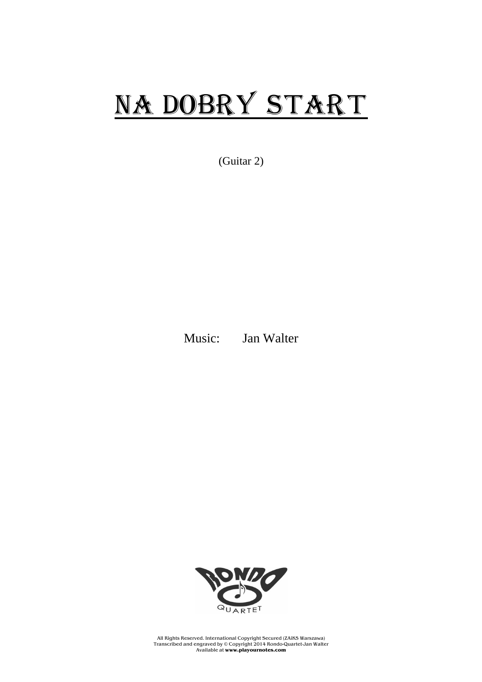## NA DOBRY START

(Guitar 2)

Music: Jan Walter



All Rights Reserved. International Copyright Secured (ZAiKS Warszawa) Transcribed and engraved by © Copyright 2014 Rondo-Quartet-Jan Walter Available at **www.playournotes.com**